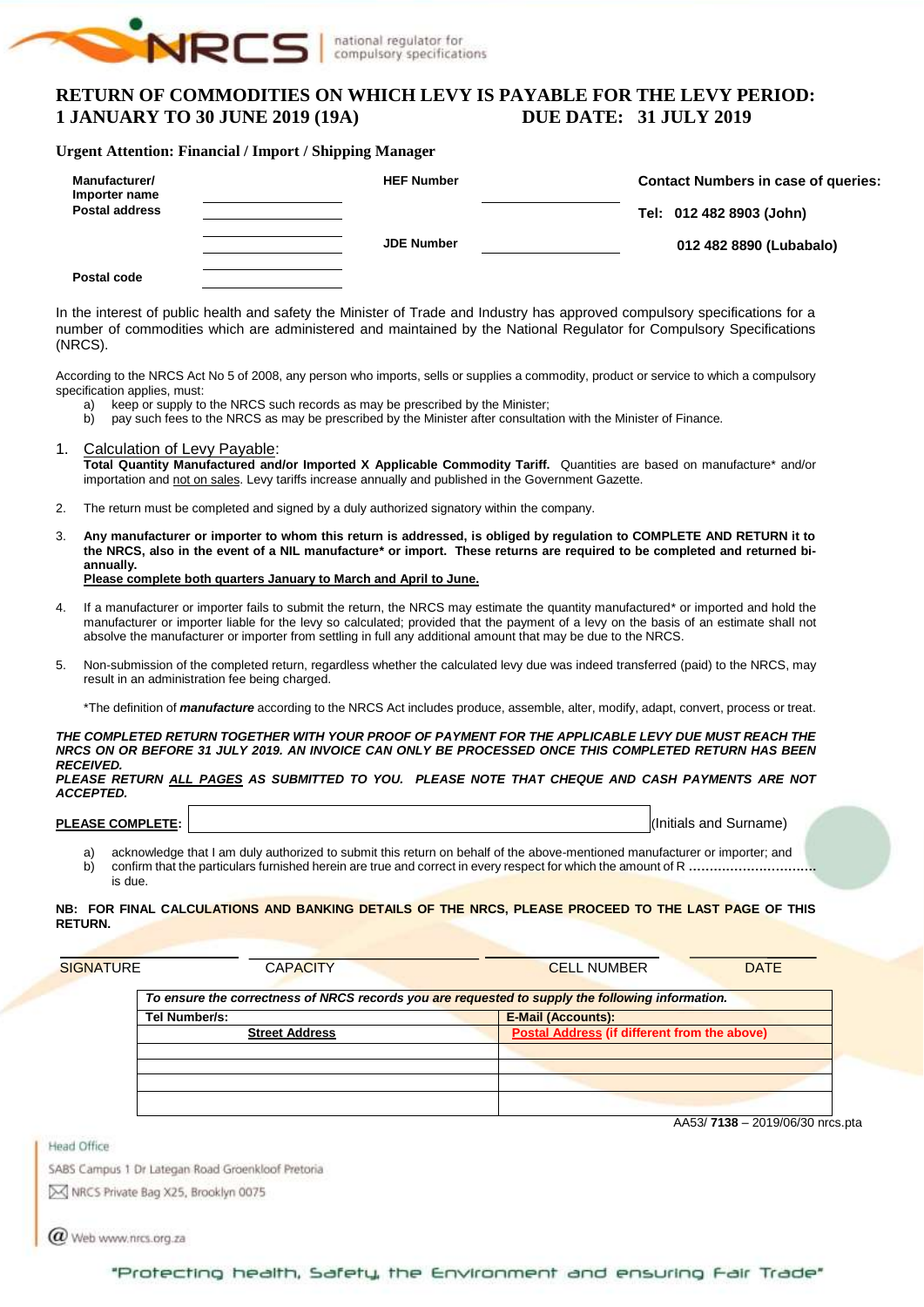

# **RETURN OF COMMODITIES ON WHICH LEVY IS PAYABLE FOR THE LEVY PERIOD:**<br>1 JANUARY TO 30 JUNE 2019 (19A) DUE DATE: 31 JULY 2019 **1 JANUARY TO 30 JUNE 2019 (19A)**

#### **Urgent Attention: Financial / Import / Shipping Manager**

| Manufacturer/<br>Importer name | <b>HEF Number</b> | <b>Contact Numbers in case of queries:</b> |
|--------------------------------|-------------------|--------------------------------------------|
| <b>Postal address</b>          |                   | Tel: 012 482 8903 (John)                   |
|                                | <b>JDE Number</b> | 012 482 8890 (Lubabalo)                    |
| Postal code                    |                   |                                            |

In the interest of public health and safety the Minister of Trade and Industry has approved compulsory specifications for a number of commodities which are administered and maintained by the National Regulator for Compulsory Specifications (NRCS).

According to the NRCS Act No 5 of 2008, any person who imports, sells or supplies a commodity, product or service to which a compulsory specification applies, must:

- a) keep or supply to the NRCS such records as may be prescribed by the Minister;
- b) pay such fees to the NRCS as may be prescribed by the Minister after consultation with the Minister of Finance.
- 1. Calculation of Levy Payable: **Total Quantity Manufactured and/or Imported X Applicable Commodity Tariff.** Quantities are based on manufacture\* and/or importation and not on sales. Levy tariffs increase annually and published in the Government Gazette.
- 2. The return must be completed and signed by a duly authorized signatory within the company.
- 3. **Any manufacturer or importer to whom this return is addressed, is obliged by regulation to COMPLETE AND RETURN it to the NRCS, also in the event of a NIL manufacture\* or import. These returns are required to be completed and returned biannually. Please complete both quarters January to March and April to June.**
- If a manufacturer or importer fails to submit the return, the NRCS may estimate the quantity manufactured\* or imported and hold the manufacturer or importer liable for the levy so calculated; provided that the payment of a levy on the basis of an estimate shall not absolve the manufacturer or importer from settling in full any additional amount that may be due to the NRCS.
- 5. Non-submission of the completed return, regardless whether the calculated levy due was indeed transferred (paid) to the NRCS, may result in an administration fee being charged.

\*The definition of *manufacture* according to the NRCS Act includes produce, assemble, alter, modify, adapt, convert, process or treat.

*THE COMPLETED RETURN TOGETHER WITH YOUR PROOF OF PAYMENT FOR THE APPLICABLE LEVY DUE MUST REACH THE NRCS ON OR BEFORE 31 JULY 2019. AN INVOICE CAN ONLY BE PROCESSED ONCE THIS COMPLETED RETURN HAS BEEN RECEIVED.*

*PLEASE RETURN ALL PAGES AS SUBMITTED TO YOU. PLEASE NOTE THAT CHEQUE AND CASH PAYMENTS ARE NOT ACCEPTED.*

| <b>PLEASE COMPLETE:</b> |  |
|-------------------------|--|
|                         |  |

**PLEASE COMPLETE:** I, (Initials and Surname)

a) acknowledge that I am duly authorized to submit this return on behalf of the above-mentioned manufacturer or importer; and b) confirm that the particulars furnished herein are true and correct in every respect for which the amount of R **………………………….** is due.

#### **NB: FOR FINAL CALCULATIONS AND BANKING DETAILS OF THE NRCS, PLEASE PROCEED TO THE LAST PAGE OF THIS RETURN.**

| <b>SIGNATURE</b> | <b>CAPACITY</b>                                                                                  | <b>CELL NUMBER</b><br><b>DATE</b>                   |
|------------------|--------------------------------------------------------------------------------------------------|-----------------------------------------------------|
|                  | To ensure the correctness of NRCS records you are requested to supply the following information. |                                                     |
|                  | Tel Number/s:                                                                                    | <b>E-Mail (Accounts):</b>                           |
|                  | <b>Street Address</b>                                                                            | <b>Postal Address (if different from the above)</b> |
|                  |                                                                                                  |                                                     |
|                  |                                                                                                  |                                                     |
|                  |                                                                                                  |                                                     |
|                  |                                                                                                  |                                                     |
|                  |                                                                                                  |                                                     |

AA53/ **7138** – 2019/06/30 nrcs.pta

**Head Office** 

SABS Campus 1 Dr Lategan Road Groenkloof Pretoria

M NRCS Private Bag X25, Brooklyn 0075

 $\bm{a}$  Web www.nrcs.org.za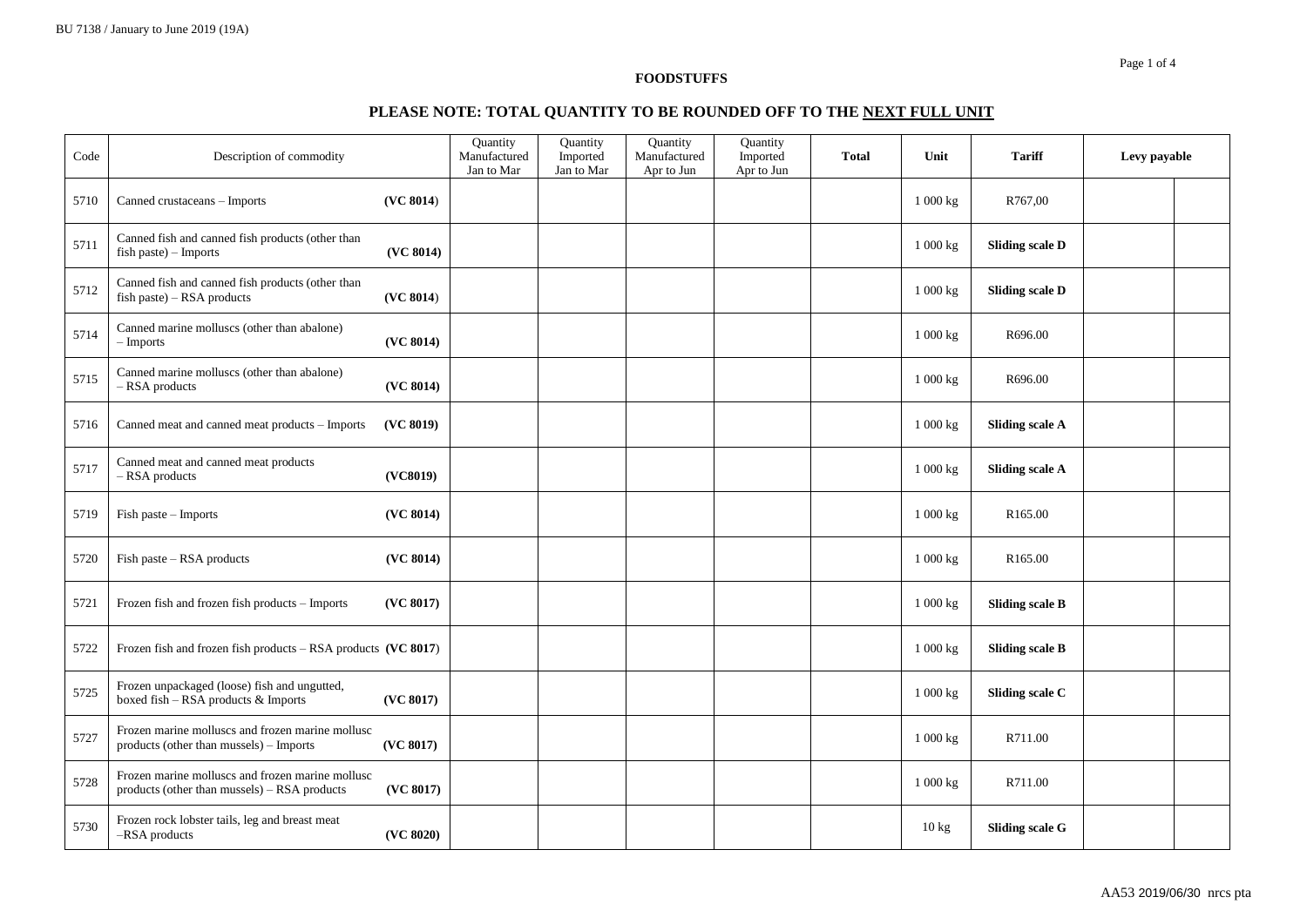# **PLEASE NOTE: TOTAL QUANTITY TO BE ROUNDED OFF TO THE NEXT FULL UNIT**

| Code | Description of commodity                                                                         |           | <b>Quantity</b><br>Manufactured<br>Jan to Mar | Quantity<br>Imported<br>Jan to Mar | Quantity<br>Manufactured<br>Apr to Jun | Quantity<br>Imported<br>Apr to Jun | <b>Total</b> | Unit     | <b>Tariff</b>          | Levy payable |  |
|------|--------------------------------------------------------------------------------------------------|-----------|-----------------------------------------------|------------------------------------|----------------------------------------|------------------------------------|--------------|----------|------------------------|--------------|--|
| 5710 | Canned crustaceans - Imports                                                                     | (VC 8014) |                                               |                                    |                                        |                                    |              | 1 000 kg | R767,00                |              |  |
| 5711 | Canned fish and canned fish products (other than<br>$fish$ paste) – Imports                      | (VC 8014) |                                               |                                    |                                        |                                    |              | 1 000 kg | <b>Sliding scale D</b> |              |  |
| 5712 | Canned fish and canned fish products (other than<br>$fish$ paste) – RSA products                 | (VC 8014) |                                               |                                    |                                        |                                    |              | 1 000 kg | <b>Sliding scale D</b> |              |  |
| 5714 | Canned marine molluscs (other than abalone)<br>- Imports                                         | (VC 8014) |                                               |                                    |                                        |                                    |              | 1 000 kg | R696.00                |              |  |
| 5715 | Canned marine molluscs (other than abalone)<br>- RSA products                                    | (VC 8014) |                                               |                                    |                                        |                                    |              | 1 000 kg | R696.00                |              |  |
| 5716 | Canned meat and canned meat products - Imports                                                   | (VC 8019) |                                               |                                    |                                        |                                    |              | 1 000 kg | <b>Sliding scale A</b> |              |  |
| 5717 | Canned meat and canned meat products<br>- RSA products                                           | (VC8019)  |                                               |                                    |                                        |                                    |              | 1 000 kg | <b>Sliding scale A</b> |              |  |
| 5719 | Fish paste - Imports                                                                             | (VC 8014) |                                               |                                    |                                        |                                    |              | 1 000 kg | R <sub>165.00</sub>    |              |  |
| 5720 | Fish paste - RSA products                                                                        | (VC 8014) |                                               |                                    |                                        |                                    |              | 1 000 kg | R165.00                |              |  |
| 5721 | Frozen fish and frozen fish products - Imports                                                   | (VC 8017) |                                               |                                    |                                        |                                    |              | 1 000 kg | <b>Sliding scale B</b> |              |  |
| 5722 | Frozen fish and frozen fish products - RSA products (VC 8017)                                    |           |                                               |                                    |                                        |                                    |              | 1 000 kg | <b>Sliding scale B</b> |              |  |
| 5725 | Frozen unpackaged (loose) fish and ungutted,<br>boxed fish - RSA products & Imports              | (VC 8017) |                                               |                                    |                                        |                                    |              | 1 000 kg | Sliding scale C        |              |  |
| 5727 | Frozen marine molluscs and frozen marine mollusc<br>products (other than mussels) – Imports      | (VC 8017) |                                               |                                    |                                        |                                    |              | 1 000 kg | R711.00                |              |  |
| 5728 | Frozen marine molluscs and frozen marine mollusc<br>products (other than mussels) – RSA products | (VC 8017) |                                               |                                    |                                        |                                    |              | 1 000 kg | R711.00                |              |  |
| 5730 | Frozen rock lobster tails, leg and breast meat<br>-RSA products                                  | (VC 8020) |                                               |                                    |                                        |                                    |              | 10 kg    | <b>Sliding scale G</b> |              |  |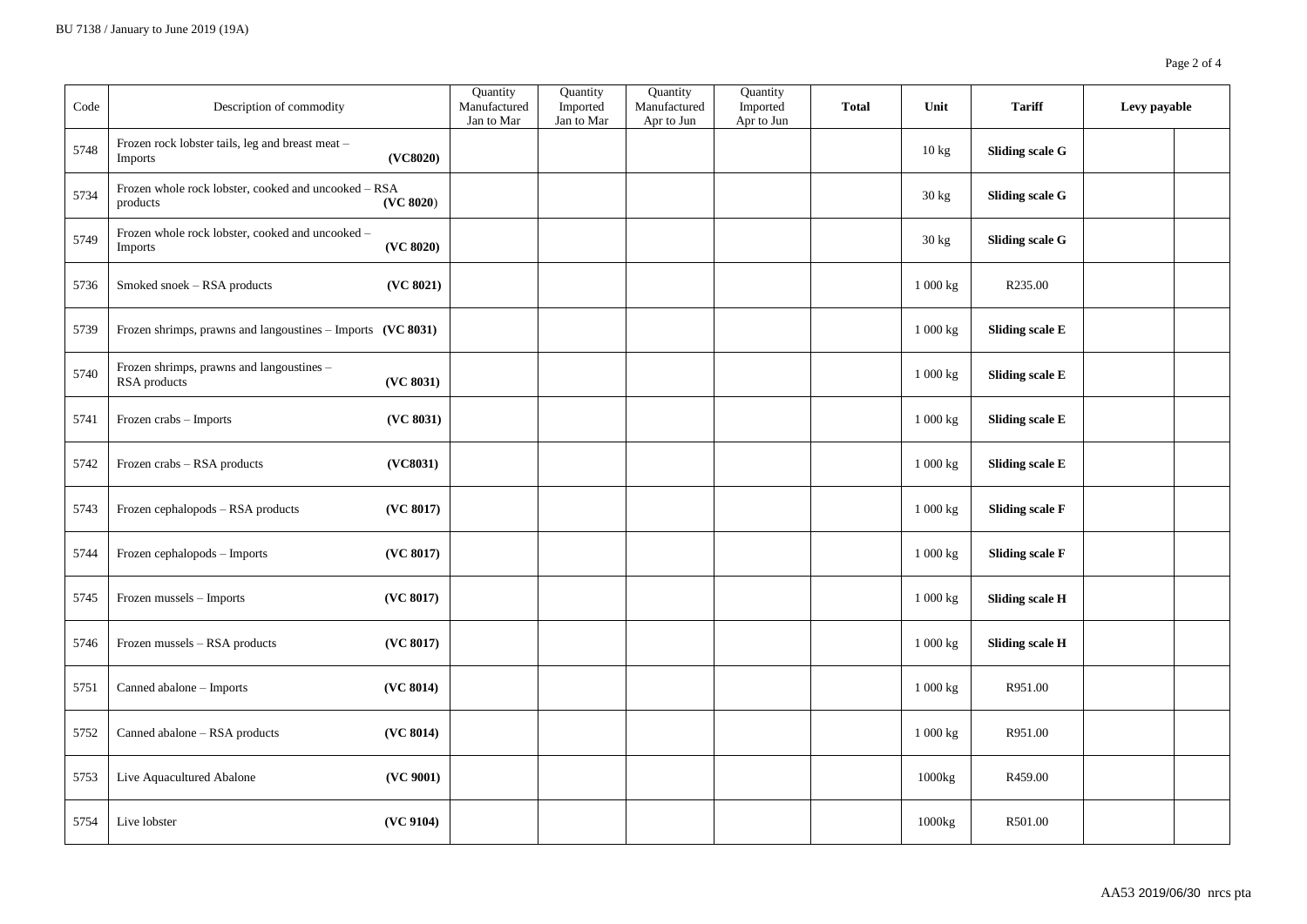| Code | Description of commodity                                         |           | Quantity<br>Manufactured<br>Jan to Mar | Quantity<br>Imported<br>Jan to Mar | Quantity<br>Manufactured<br>Apr to Jun | Quantity<br>Imported<br>Apr to Jun | <b>Total</b> | Unit              | <b>Tariff</b>          | Levy payable |  |
|------|------------------------------------------------------------------|-----------|----------------------------------------|------------------------------------|----------------------------------------|------------------------------------|--------------|-------------------|------------------------|--------------|--|
| 5748 | Frozen rock lobster tails, leg and breast meat -<br>Imports      | (VC8020)  |                                        |                                    |                                        |                                    |              | $10\,\mathrm{kg}$ | <b>Sliding scale G</b> |              |  |
| 5734 | Frozen whole rock lobster, cooked and uncooked - RSA<br>products | (VC 8020) |                                        |                                    |                                        |                                    |              | 30 kg             | <b>Sliding scale G</b> |              |  |
| 5749 | Frozen whole rock lobster, cooked and uncooked -<br>Imports      | (VC 8020) |                                        |                                    |                                        |                                    |              | 30 kg             | <b>Sliding scale G</b> |              |  |
| 5736 | Smoked snoek - RSA products                                      | (VC 8021) |                                        |                                    |                                        |                                    |              | 1 000 kg          | R235.00                |              |  |
| 5739 | Frozen shrimps, prawns and langoustines - Imports (VC 8031)      |           |                                        |                                    |                                        |                                    |              | 1 000 kg          | <b>Sliding scale E</b> |              |  |
| 5740 | Frozen shrimps, prawns and langoustines -<br>RSA products        | (VC 8031) |                                        |                                    |                                        |                                    |              | 1 000 kg          | <b>Sliding scale E</b> |              |  |
| 5741 | Frozen crabs - Imports                                           | (VC 8031) |                                        |                                    |                                        |                                    |              | 1 000 kg          | <b>Sliding scale E</b> |              |  |
| 5742 | Frozen crabs - RSA products                                      | (VC8031)  |                                        |                                    |                                        |                                    |              | 1 000 kg          | <b>Sliding scale E</b> |              |  |
| 5743 | Frozen cephalopods - RSA products                                | (VC 8017) |                                        |                                    |                                        |                                    |              | 1 000 kg          | <b>Sliding scale F</b> |              |  |
| 5744 | Frozen cephalopods - Imports                                     | (VC 8017) |                                        |                                    |                                        |                                    |              | 1 000 kg          | <b>Sliding scale F</b> |              |  |
| 5745 | Frozen mussels - Imports                                         | (VC 8017) |                                        |                                    |                                        |                                    |              | 1 000 kg          | <b>Sliding scale H</b> |              |  |
| 5746 | Frozen mussels - RSA products                                    | (VC 8017) |                                        |                                    |                                        |                                    |              | 1 000 kg          | <b>Sliding scale H</b> |              |  |
| 5751 | Canned abalone - Imports                                         | (VC 8014) |                                        |                                    |                                        |                                    |              | 1 000 kg          | R951.00                |              |  |
| 5752 | Canned abalone - RSA products                                    | (VC 8014) |                                        |                                    |                                        |                                    |              | 1 000 kg          | R951.00                |              |  |
| 5753 | Live Aquacultured Abalone                                        | (VC 9001) |                                        |                                    |                                        |                                    |              | 1000kg            | R459.00                |              |  |
| 5754 | Live lobster                                                     | (VC 9104) |                                        |                                    |                                        |                                    |              | 1000kg            | R501.00                |              |  |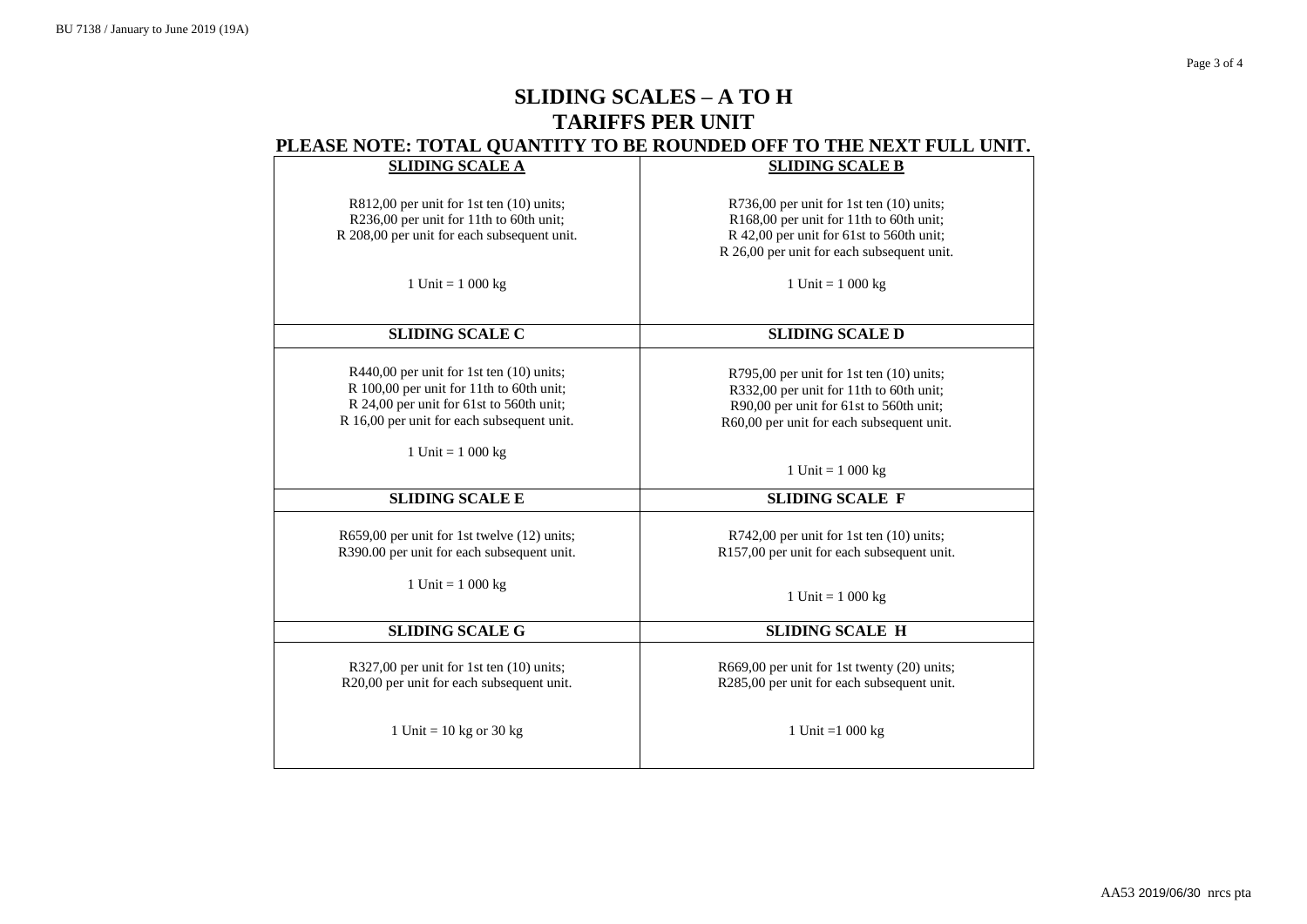# **SLIDING SCALES – A TO H TARIFFS PER UNIT PLEASE NOTE: TOTAL QUANTITY TO BE ROUNDED OFF TO THE NEXT FULL UNIT.**

| <b>SLIDING SCALE A</b>                                                                                                                                                         | <b>SLIDING SCALE B</b>                                                                                                                                                        |
|--------------------------------------------------------------------------------------------------------------------------------------------------------------------------------|-------------------------------------------------------------------------------------------------------------------------------------------------------------------------------|
| $R812,00$ per unit for 1st ten $(10)$ units;<br>R236,00 per unit for 11th to 60th unit;<br>R 208,00 per unit for each subsequent unit.                                         | R736,00 per unit for 1st ten (10) units;<br>R168,00 per unit for 11th to 60th unit;<br>R 42,00 per unit for 61st to 560th unit;<br>R 26,00 per unit for each subsequent unit. |
| 1 Unit = $1000 \text{ kg}$                                                                                                                                                     | 1 Unit = $1000 kg$                                                                                                                                                            |
| <b>SLIDING SCALE C</b>                                                                                                                                                         | <b>SLIDING SCALE D</b>                                                                                                                                                        |
| R440,00 per unit for 1st ten (10) units;<br>R 100,00 per unit for 11th to 60th unit;<br>R 24,00 per unit for 61st to 560th unit;<br>R 16,00 per unit for each subsequent unit. | R795,00 per unit for 1st ten (10) units;<br>R332,00 per unit for 11th to 60th unit;<br>R90,00 per unit for 61st to 560th unit;<br>R60,00 per unit for each subsequent unit.   |
| 1 Unit = $1000 \text{ kg}$                                                                                                                                                     | 1 Unit = $1000 kg$                                                                                                                                                            |
| <b>SLIDING SCALE E</b>                                                                                                                                                         | <b>SLIDING SCALE F</b>                                                                                                                                                        |
| R659,00 per unit for 1st twelve (12) units;<br>R390.00 per unit for each subsequent unit.                                                                                      | R742,00 per unit for 1st ten (10) units;<br>R157,00 per unit for each subsequent unit.                                                                                        |
| 1 Unit = $1000 \text{ kg}$                                                                                                                                                     | 1 Unit = $1\ 000 \text{ kg}$                                                                                                                                                  |
| <b>SLIDING SCALE G</b>                                                                                                                                                         | <b>SLIDING SCALE H</b>                                                                                                                                                        |
| R327,00 per unit for 1st ten (10) units;<br>R20,00 per unit for each subsequent unit.                                                                                          | R669,00 per unit for 1st twenty (20) units;<br>R285,00 per unit for each subsequent unit.                                                                                     |
| 1 Unit = $10$ kg or 30 kg                                                                                                                                                      | 1 Unit = $1000 \text{ kg}$                                                                                                                                                    |